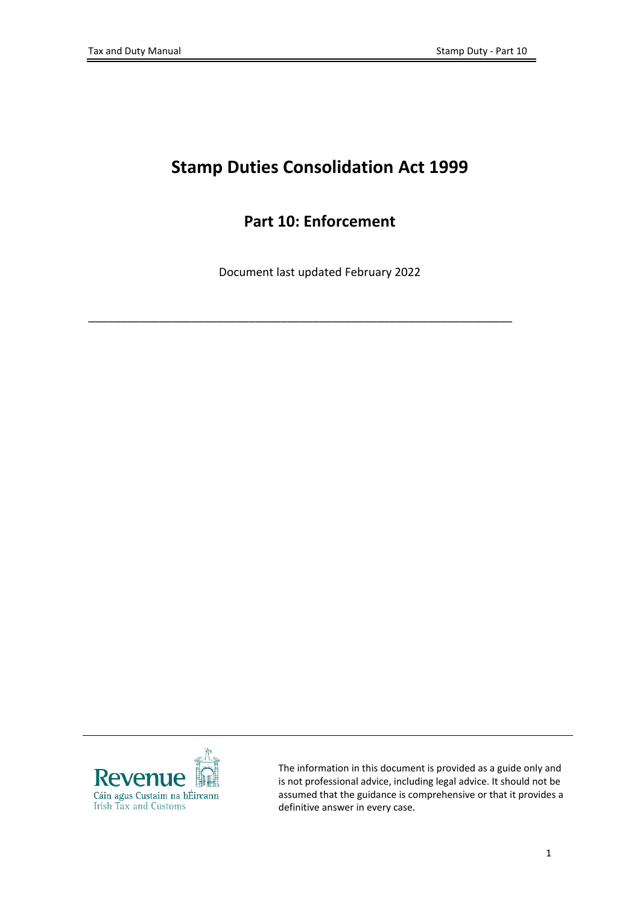# **Stamp Duties Consolidation Act 1999**

## **Part 10: Enforcement**

Document last updated February 2022

\_\_\_\_\_\_\_\_\_\_\_\_\_\_\_\_\_\_\_\_\_\_\_\_\_\_\_\_\_\_\_\_\_\_\_\_\_\_\_\_\_\_\_\_\_\_\_\_\_\_\_\_\_\_\_\_\_\_\_\_\_\_\_\_\_\_



The information in this document is provided as a guide only and is not professional advice, including legal advice. It should not be assumed that the guidance is comprehensive or that it provides a definitive answer in every case.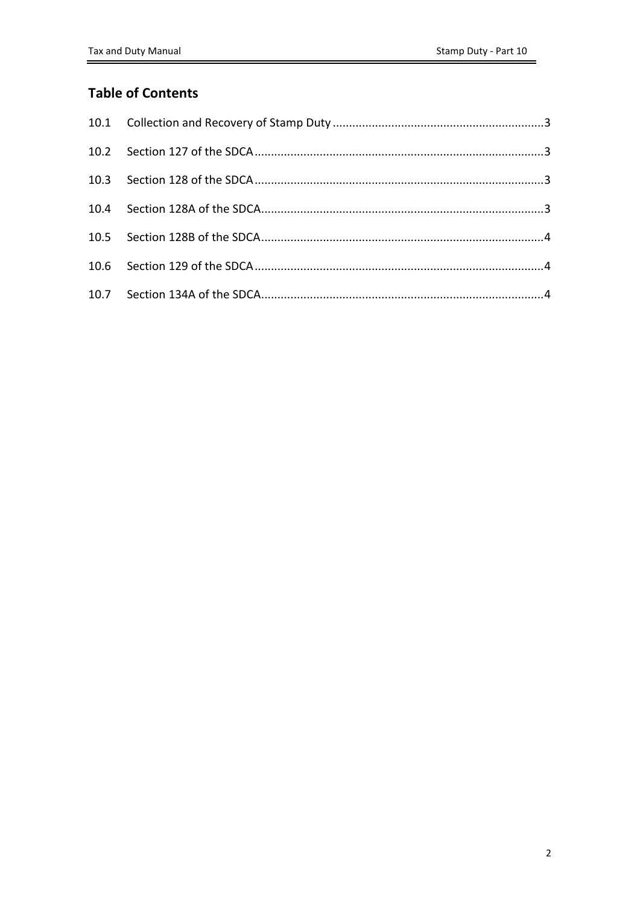### **Table of Contents**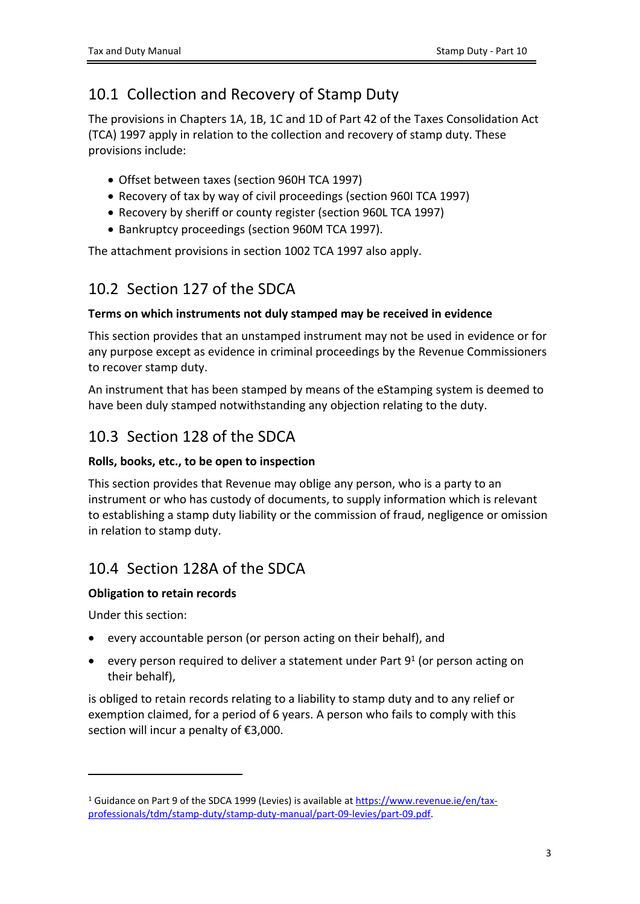## <span id="page-2-0"></span>10.1 Collection and Recovery of Stamp Duty

The provisions in Chapters 1A, 1B, 1C and 1D of Part 42 of the Taxes Consolidation Act (TCA) 1997 apply in relation to the collection and recovery of stamp duty. These provisions include:

- Offset between taxes (section 960H TCA 1997)
- Recovery of tax by way of civil proceedings (section 960I TCA 1997)
- Recovery by sheriff or county register (section 960L TCA 1997)
- Bankruptcy proceedings (section 960M TCA 1997).

The attachment provisions in section 1002 TCA 1997 also apply.

## <span id="page-2-1"></span>10.2 Section 127 of the SDCA

### **Terms on which instruments not duly stamped may be received in evidence**

This section provides that an unstamped instrument may not be used in evidence or for any purpose except as evidence in criminal proceedings by the Revenue Commissioners to recover stamp duty.

An instrument that has been stamped by means of the eStamping system is deemed to have been duly stamped notwithstanding any objection relating to the duty.

### <span id="page-2-2"></span>10.3 Section 128 of the SDCA

### **Rolls, books, etc., to be open to inspection**

This section provides that Revenue may oblige any person, who is a party to an instrument or who has custody of documents, to supply information which is relevant to establishing a stamp duty liability or the commission of fraud, negligence or omission in relation to stamp duty.

### <span id="page-2-3"></span>10.4 Section 128A of the SDCA

### **Obligation to retain records**

Under this section:

- every accountable person (or person acting on their behalf), and
- every person required to deliver a statement under Part  $9^1$  (or person acting on their behalf),

is obliged to retain records relating to a liability to stamp duty and to any relief or exemption claimed, for a period of 6 years. A person who fails to comply with this section will incur a penalty of €3,000.

<sup>&</sup>lt;sup>1</sup> Guidance on Part 9 of the SDCA 1999 (Levies) is available at [https://www.revenue.ie/en/tax](https://www.revenue.ie/en/tax-professionals/tdm/stamp-duty/stamp-duty-manual/part-09-levies/part-09.pdf)[professionals/tdm/stamp-duty/stamp-duty-manual/part-09-levies/part-09.pdf.](https://www.revenue.ie/en/tax-professionals/tdm/stamp-duty/stamp-duty-manual/part-09-levies/part-09.pdf)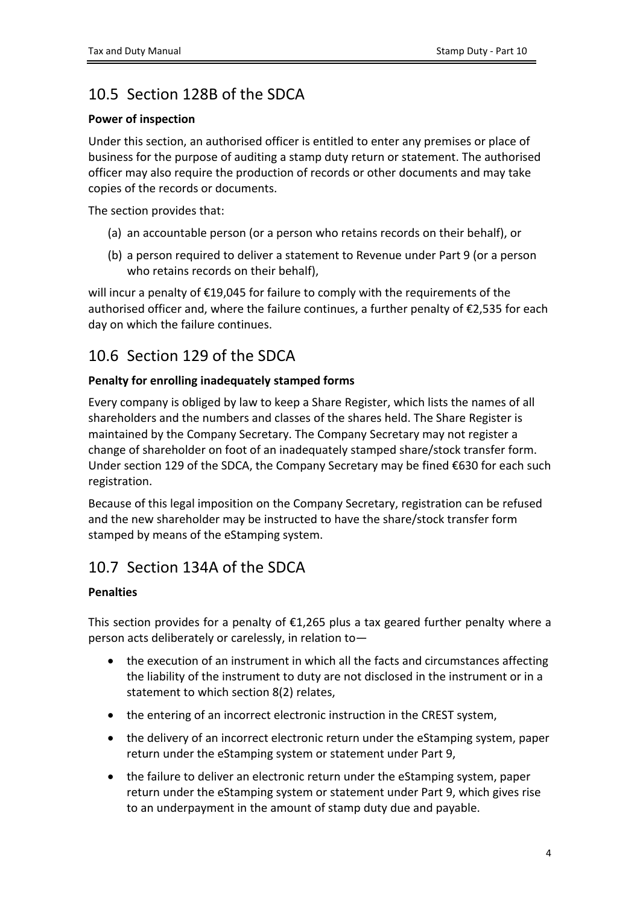## <span id="page-3-0"></span>10.5 Section 128B of the SDCA

#### **Power of inspection**

Under this section, an authorised officer is entitled to enter any premises or place of business for the purpose of auditing a stamp duty return or statement. The authorised officer may also require the production of records or other documents and may take copies of the records or documents.

The section provides that:

- (a) an accountable person (or a person who retains records on their behalf), or
- (b) a person required to deliver a statement to Revenue under Part 9 (or a person who retains records on their behalf),

will incur a penalty of €19,045 for failure to comply with the requirements of the authorised officer and, where the failure continues, a further penalty of €2,535 for each day on which the failure continues.

### <span id="page-3-1"></span>10.6 Section 129 of the SDCA

### **Penalty for enrolling inadequately stamped forms**

Every company is obliged by law to keep a Share Register, which lists the names of all shareholders and the numbers and classes of the shares held. The Share Register is maintained by the Company Secretary. The Company Secretary may not register a change of shareholder on foot of an inadequately stamped share/stock transfer form. Under section 129 of the SDCA, the Company Secretary may be fined €630 for each such registration.

Because of this legal imposition on the Company Secretary, registration can be refused and the new shareholder may be instructed to have the share/stock transfer form stamped by means of the eStamping system.

### <span id="page-3-2"></span>10.7 Section 134A of the SDCA

### **Penalties**

This section provides for a penalty of  $£1,265$  plus a tax geared further penalty where a person acts deliberately or carelessly, in relation to—

- the execution of an instrument in which all the facts and circumstances affecting the liability of the instrument to duty are not disclosed in the instrument or in a statement to which section 8(2) relates,
- the entering of an incorrect electronic instruction in the CREST system,
- the delivery of an incorrect electronic return under the eStamping system, paper return under the eStamping system or statement under Part 9,
- the failure to deliver an electronic return under the eStamping system, paper return under the eStamping system or statement under Part 9, which gives rise to an underpayment in the amount of stamp duty due and payable.